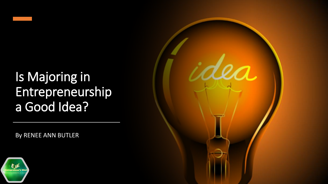

By RENEE ANN BUTLER



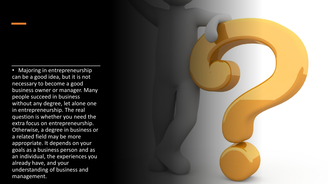• Majoring in entrepreneurship can be a good idea, but it is not necessary to become a good business owner or manager. Many people succeed in business without any degree, let alone one in entrepreneurship. The real question is whether you need the extra focus on entrepreneurship. Otherwise, a degree in business or a related field may be more appropriate. It depends on your goals as a business person and as an individual, the experiences you already have, and your understanding of business and management.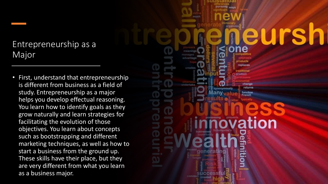### Entrepreneurship as a Major

• First, understand that entrepreneurship is different from business as a field of study. Entrepreneurship as a major helps you develop effectual reasoning. You learn how to identify goals as they grow naturally and learn strategies for facilitating the evolution of those objectives. You learn about concepts such as bootstrapping and different marketing techniques, as well as how to start a business from the ground up. These skills have their place, but they are very different from what you learn as a business major.

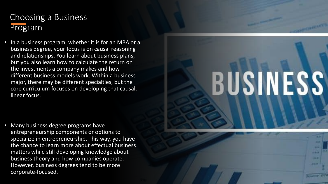### Choosing a Business Program

• In a business program, whether it is for an MBA or a business degree, your focus is on causal reasoning and relationships. You learn about business plans, but you also learn how to calculate the return on the investments a company makes and how different business models work. Within a business major, there may be different specialties, but the core curriculum focuses on developing that causal, linear focus.

• Many business degree programs have entrepreneurship components or options to specialize in entrepreneurship. This way, you have the chance to learn more about effectual business matters while still developing knowledge about business theory and how companies operate. However, business degrees tend to be more corporate-focused.

# BUSINESS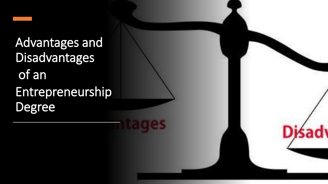Advantages and Disadvantages of an Entrepreneurship Degree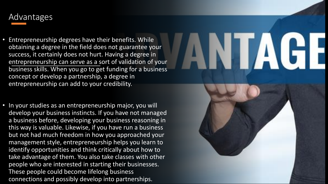### Advantages

• Entrepreneurship degrees have their benefits. While obtaining a degree in the field does not guarantee your success, it certainly does not hurt. Having a degree in entrepreneurship can serve as a sort of validation of your business skills. When you go to get funding for a business concept or develop a partnership, a degree in entrepreneurship can add to your credibility.

NI AG

• In your studies as an entrepreneurship major, you will develop your business instincts. If you have not managed a business before, developing your business reasoning in this way is valuable. Likewise, if you have run a business but not had much freedom in how you approached your management style, entrepreneurship helps you learn to identify opportunities and think critically about how to take advantage of them. You also take classes with other people who are interested in starting their businesses. These people could become lifelong business connections and possibly develop into partnerships.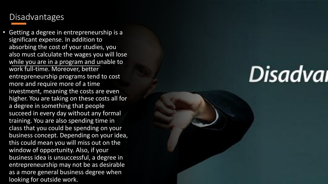#### **Disadvantages**

• Getting a degree in entrepreneurship is a significant expense. In addition to absorbing the cost of your studies, you also must calculate the wages you will lose while you are in a program and unable to work full-time. Moreover, better entrepreneurship programs tend to cost more and require more of a time investment, meaning the costs are even higher. You are taking on these costs all for a degree in something that people succeed in every day without any formal training. You are also spending time in class that you could be spending on your business concept. Depending on your idea, this could mean you will miss out on the window of opportunity. Also, if your business idea is unsuccessful, a degree in entrepreneurship may not be as desirable as a more general business degree when looking for outside work.

## Disadval